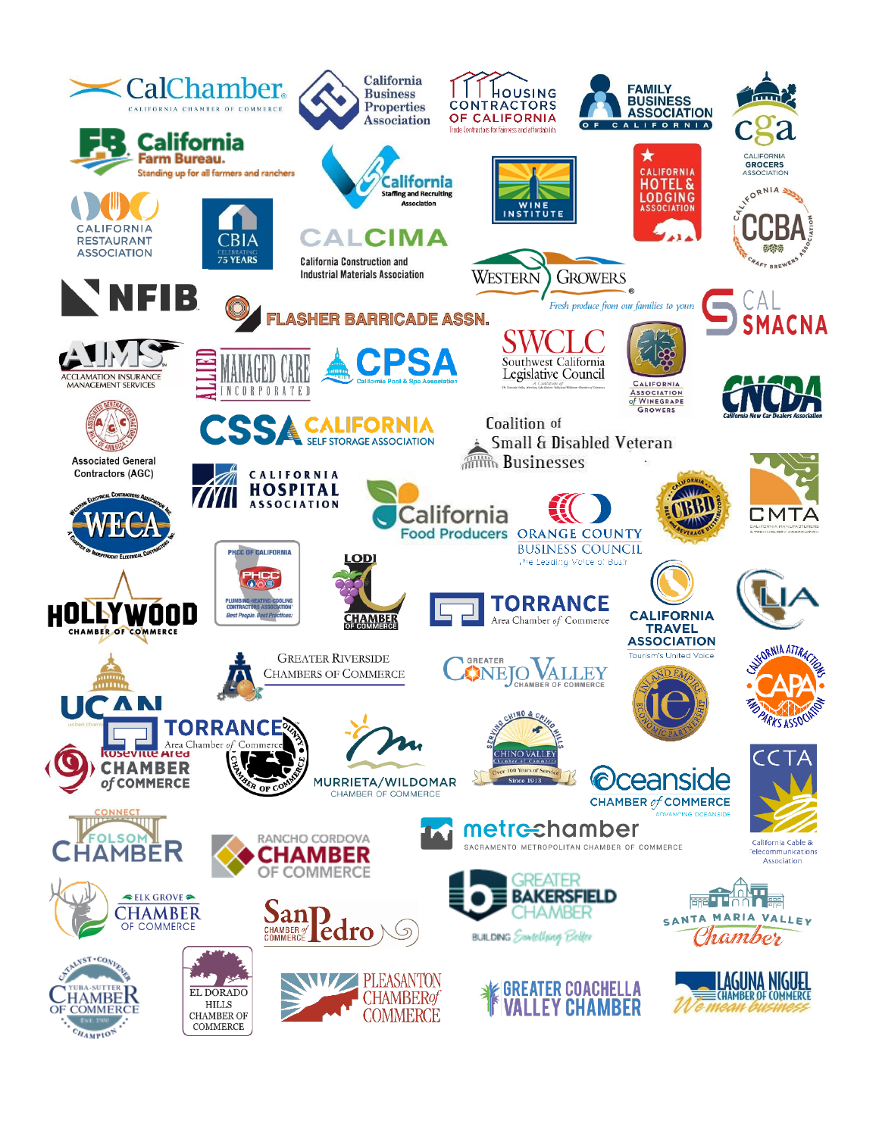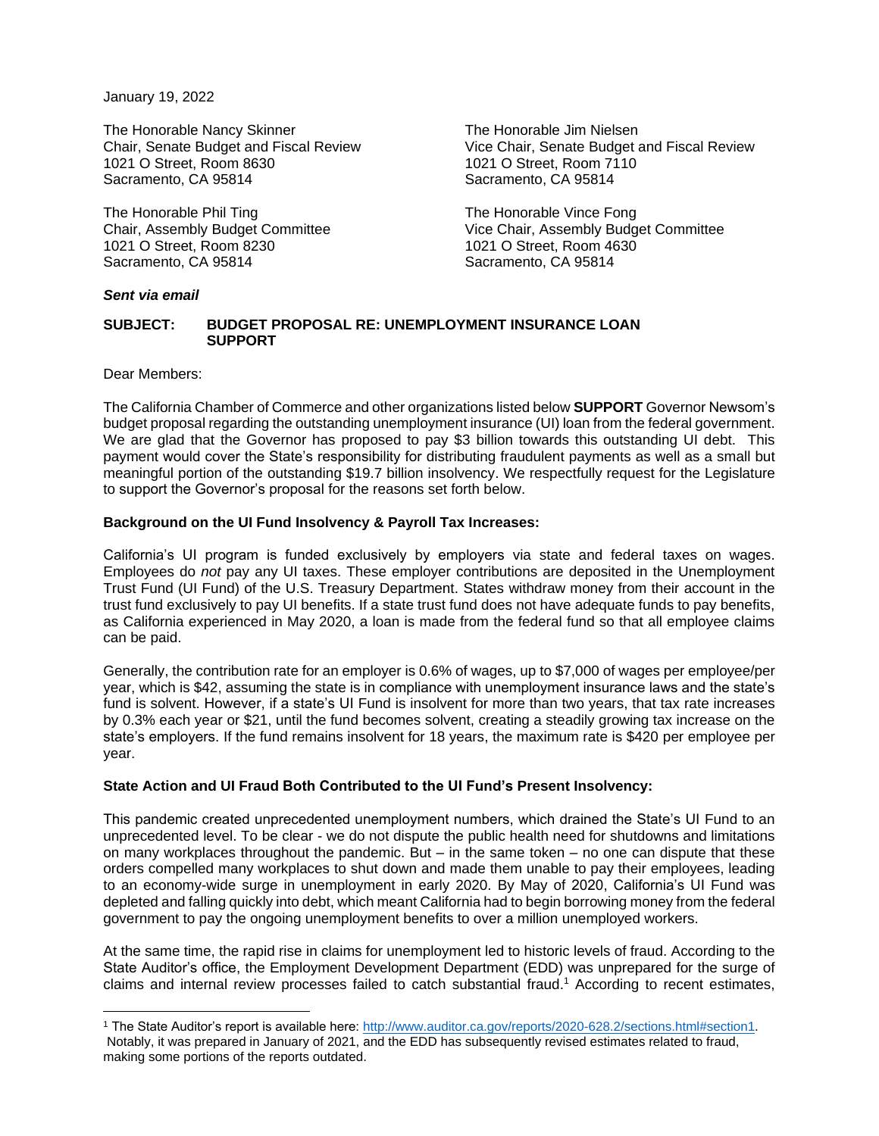January 19, 2022

The Honorable Nancy Skinner The Honorable Jim Nielsen 1021 O Street, Room 8630 1021 O Street, Room 7110 Sacramento, CA 95814 Sacramento, CA 95814

The Honorable Phil Ting The Honorable Vince Fong 1021 O Street, Room 8230 1021 O Street, Room 4630 Sacramento, CA 95814 Sacramento, CA 95814

Chair, Senate Budget and Fiscal Review Vice Chair, Senate Budget and Fiscal Review

Chair, Assembly Budget Committee Vice Chair, Assembly Budget Committee

### *Sent via email*

## **SUBJECT: BUDGET PROPOSAL RE: UNEMPLOYMENT INSURANCE LOAN SUPPORT**

Dear Members:

The California Chamber of Commerce and other organizations listed below **SUPPORT** Governor Newsom's budget proposal regarding the outstanding unemployment insurance (UI) loan from the federal government. We are glad that the Governor has proposed to pay \$3 billion towards this outstanding UI debt. This payment would cover the State's responsibility for distributing fraudulent payments as well as a small but meaningful portion of the outstanding \$19.7 billion insolvency. We respectfully request for the Legislature to support the Governor's proposal for the reasons set forth below.

#### **Background on the UI Fund Insolvency & Payroll Tax Increases:**

California's UI program is funded exclusively by employers via state and federal taxes on wages. Employees do *not* pay any UI taxes. These employer contributions are deposited in the Unemployment Trust Fund (UI Fund) of the U.S. Treasury Department. States withdraw money from their account in the trust fund exclusively to pay UI benefits. If a state trust fund does not have adequate funds to pay benefits, as California experienced in May 2020, a loan is made from the federal fund so that all employee claims can be paid.

Generally, the contribution rate for an employer is 0.6% of wages, up to \$7,000 of wages per employee/per year, which is \$42, assuming the state is in compliance with unemployment insurance laws and the state's fund is solvent. However, if a state's UI Fund is insolvent for more than two years, that tax rate increases by 0.3% each year or \$21, until the fund becomes solvent, creating a steadily growing tax increase on the state's employers. If the fund remains insolvent for 18 years, the maximum rate is \$420 per employee per year.

### **State Action and UI Fraud Both Contributed to the UI Fund's Present Insolvency:**

This pandemic created unprecedented unemployment numbers, which drained the State's UI Fund to an unprecedented level. To be clear - we do not dispute the public health need for shutdowns and limitations on many workplaces throughout the pandemic. But  $-$  in the same token  $-$  no one can dispute that these orders compelled many workplaces to shut down and made them unable to pay their employees, leading to an economy-wide surge in unemployment in early 2020. By May of 2020, California's UI Fund was depleted and falling quickly into debt, which meant California had to begin borrowing money from the federal government to pay the ongoing unemployment benefits to over a million unemployed workers.

At the same time, the rapid rise in claims for unemployment led to historic levels of fraud. According to the State Auditor's office, the Employment Development Department (EDD) was unprepared for the surge of claims and internal review processes failed to catch substantial fraud.<sup>1</sup> According to recent estimates,

<sup>1</sup> The State Auditor's report is available here: [http://www.auditor.ca.gov/reports/2020-628.2/sections.html#section1.](http://www.auditor.ca.gov/reports/2020-628.2/sections.html#section1) Notably, it was prepared in January of 2021, and the EDD has subsequently revised estimates related to fraud, making some portions of the reports outdated.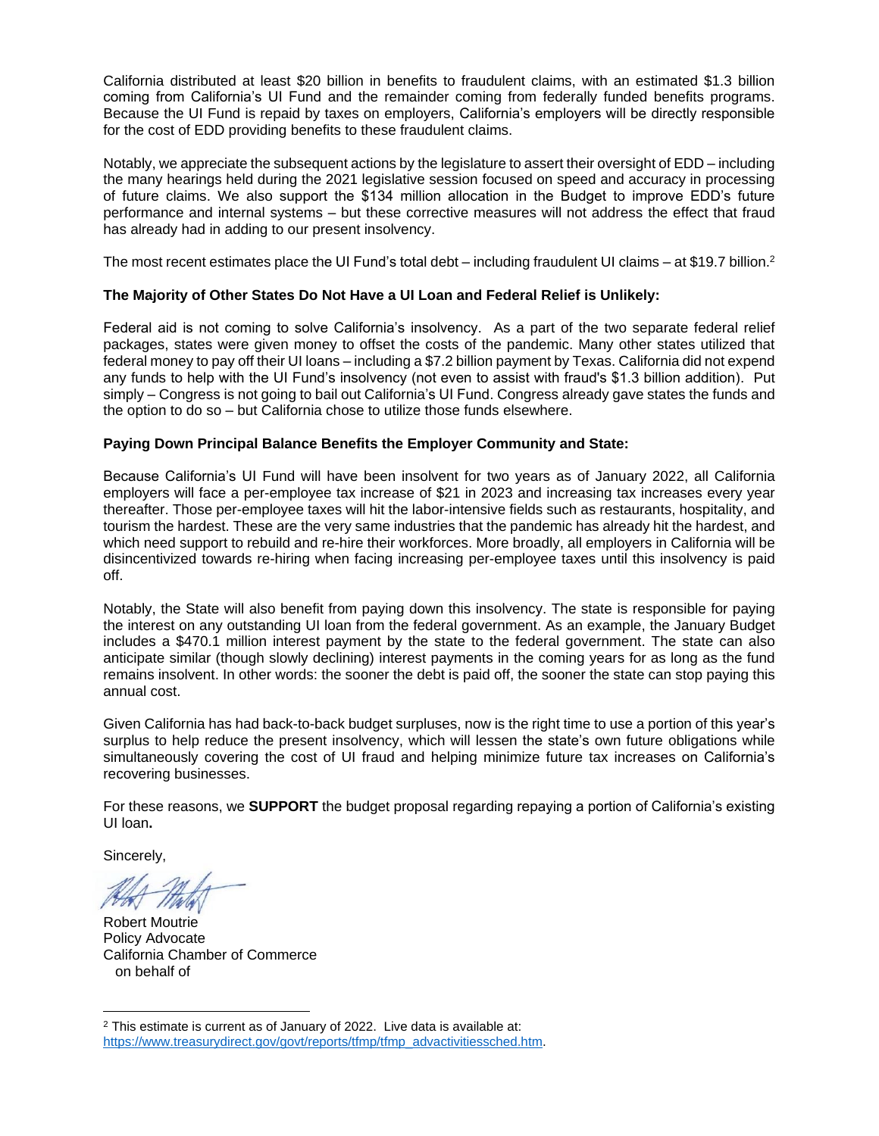California distributed at least \$20 billion in benefits to fraudulent claims, with an estimated \$1.3 billion coming from California's UI Fund and the remainder coming from federally funded benefits programs. Because the UI Fund is repaid by taxes on employers, California's employers will be directly responsible for the cost of EDD providing benefits to these fraudulent claims.

Notably, we appreciate the subsequent actions by the legislature to assert their oversight of EDD – including the many hearings held during the 2021 legislative session focused on speed and accuracy in processing of future claims. We also support the \$134 million allocation in the Budget to improve EDD's future performance and internal systems – but these corrective measures will not address the effect that fraud has already had in adding to our present insolvency.

The most recent estimates place the UI Fund's total debt – including fraudulent UI claims – at \$19.7 billion.<sup>2</sup>

# **The Majority of Other States Do Not Have a UI Loan and Federal Relief is Unlikely:**

Federal aid is not coming to solve California's insolvency. As a part of the two separate federal relief packages, states were given money to offset the costs of the pandemic. Many other states utilized that federal money to pay off their UI loans – including a \$7.2 billion payment by Texas. California did not expend any funds to help with the UI Fund's insolvency (not even to assist with fraud's \$1.3 billion addition). Put simply – Congress is not going to bail out California's UI Fund. Congress already gave states the funds and the option to do so – but California chose to utilize those funds elsewhere.

## **Paying Down Principal Balance Benefits the Employer Community and State:**

Because California's UI Fund will have been insolvent for two years as of January 2022, all California employers will face a per-employee tax increase of \$21 in 2023 and increasing tax increases every year thereafter. Those per-employee taxes will hit the labor-intensive fields such as restaurants, hospitality, and tourism the hardest. These are the very same industries that the pandemic has already hit the hardest, and which need support to rebuild and re-hire their workforces. More broadly, all employers in California will be disincentivized towards re-hiring when facing increasing per-employee taxes until this insolvency is paid off.

Notably, the State will also benefit from paying down this insolvency. The state is responsible for paying the interest on any outstanding UI loan from the federal government. As an example, the January Budget includes a \$470.1 million interest payment by the state to the federal government. The state can also anticipate similar (though slowly declining) interest payments in the coming years for as long as the fund remains insolvent. In other words: the sooner the debt is paid off, the sooner the state can stop paying this annual cost.

Given California has had back-to-back budget surpluses, now is the right time to use a portion of this year's surplus to help reduce the present insolvency, which will lessen the state's own future obligations while simultaneously covering the cost of UI fraud and helping minimize future tax increases on California's recovering businesses.

For these reasons, we **SUPPORT** the budget proposal regarding repaying a portion of California's existing UI loan**.** 

Sincerely,

Robert Moutrie Policy Advocate California Chamber of Commerce on behalf of

 $2$  This estimate is current as of January of 2022. Live data is available at: [https://www.treasurydirect.gov/govt/reports/tfmp/tfmp\\_advactivitiessched.htm.](https://www.treasurydirect.gov/govt/reports/tfmp/tfmp_advactivitiessched.htm)